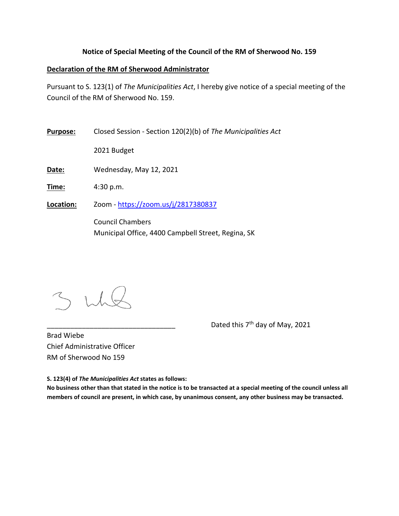## **Notice of Special Meeting of the Council of the RM of Sherwood No. 159**

## **Declaration of the RM of Sherwood Administrator**

Pursuant to S. 123(1) of *The Municipalities Act*, I hereby give notice of a special meeting of the Council of the RM of Sherwood No. 159.

**Purpose:** Closed Session ‐ Section 120(2)(b) of *The Municipalities Act*

2021 Budget

**Date:** Wednesday, May 12, 2021

**Time:** 4:30 p.m.

**Location:** Zoom ‐ https://zoom.us/j/2817380837

Council Chambers Municipal Office, 4400 Campbell Street, Regina, SK

Dated this 7<sup>th</sup> day of May, 2021

Brad Wiebe Chief Administrative Officer RM of Sherwood No 159

**S. 123(4) of** *The Municipalities Act* **states as follows:** 

**No business other than that stated in the notice is to be transacted at a special meeting of the council unless all members of council are present, in which case, by unanimous consent, any other business may be transacted.**